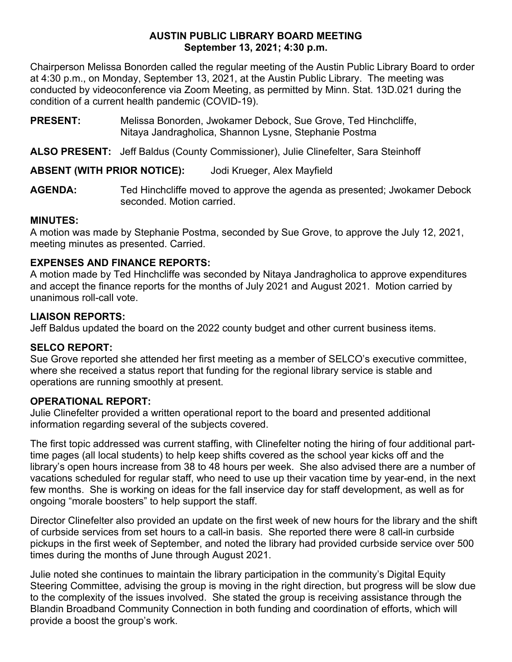#### **AUSTIN PUBLIC LIBRARY BOARD MEETING September 13, 2021; 4:30 p.m.**

Chairperson Melissa Bonorden called the regular meeting of the Austin Public Library Board to order at 4:30 p.m., on Monday, September 13, 2021, at the Austin Public Library. The meeting was conducted by videoconference via Zoom Meeting, as permitted by Minn. Stat. 13D.021 during the condition of a current health pandemic (COVID-19).

**PRESENT:** Melissa Bonorden, Jwokamer Debock, Sue Grove, Ted Hinchcliffe, Nitaya Jandragholica, Shannon Lysne, Stephanie Postma

**ALSO PRESENT:** Jeff Baldus (County Commissioner), Julie Clinefelter, Sara Steinhoff

**ABSENT (WITH PRIOR NOTICE):** Jodi Krueger, Alex Mayfield

**AGENDA:** Ted Hinchcliffe moved to approve the agenda as presented; Jwokamer Debock seconded. Motion carried.

## **MINUTES:**

A motion was made by Stephanie Postma, seconded by Sue Grove, to approve the July 12, 2021, meeting minutes as presented. Carried.

#### **EXPENSES AND FINANCE REPORTS:**

A motion made by Ted Hinchcliffe was seconded by Nitaya Jandragholica to approve expenditures and accept the finance reports for the months of July 2021 and August 2021. Motion carried by unanimous roll-call vote.

#### **LIAISON REPORTS:**

Jeff Baldus updated the board on the 2022 county budget and other current business items.

## **SELCO REPORT:**

Sue Grove reported she attended her first meeting as a member of SELCO's executive committee, where she received a status report that funding for the regional library service is stable and operations are running smoothly at present.

## **OPERATIONAL REPORT:**

Julie Clinefelter provided a written operational report to the board and presented additional information regarding several of the subjects covered.

The first topic addressed was current staffing, with Clinefelter noting the hiring of four additional parttime pages (all local students) to help keep shifts covered as the school year kicks off and the library's open hours increase from 38 to 48 hours per week. She also advised there are a number of vacations scheduled for regular staff, who need to use up their vacation time by year-end, in the next few months. She is working on ideas for the fall inservice day for staff development, as well as for ongoing "morale boosters" to help support the staff.

Director Clinefelter also provided an update on the first week of new hours for the library and the shift of curbside services from set hours to a call-in basis. She reported there were 8 call-in curbside pickups in the first week of September, and noted the library had provided curbside service over 500 times during the months of June through August 2021.

Julie noted she continues to maintain the library participation in the community's Digital Equity Steering Committee, advising the group is moving in the right direction, but progress will be slow due to the complexity of the issues involved. She stated the group is receiving assistance through the Blandin Broadband Community Connection in both funding and coordination of efforts, which will provide a boost the group's work.